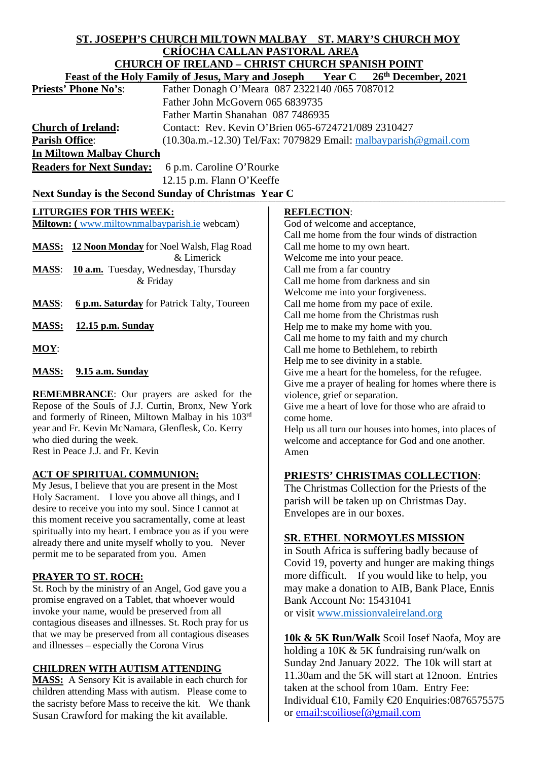## **ST. JOSEPH'S CHURCH MILTOWN MALBAY ST. MARY'S CHURCH MOY CRÍOCHA CALLAN PASTORAL AREA CHURCH OF IRELAND – CHRIST CHURCH SPANISH POINT**

| <b>Year C</b><br>26th December, 2021<br><b>Feast of the Holy Family of Jesus, Mary and Joseph</b><br>Father Donagh O'Meara 087 2322140 /065 7087012<br><b>Priests' Phone No's:</b><br>Father John McGovern 065 6839735<br>Father Martin Shanahan 087 7486935<br><b>Church of Ireland:</b><br>Contact: Rev. Kevin O'Brien 065-6724721/089 2310427<br><b>Parish Office:</b><br>$(10.30a.m.-12.30)$ Tel/Fax: 7079829 Email: $malbayparish@gmail.com$<br><b>In Miltown Malbay Church</b><br><b>Readers for Next Sunday:</b><br>6 p.m. Caroline O'Rourke<br>12.15 p.m. Flann O'Keeffe<br>Next Sunday is the Second Sunday of Christmas Year C<br><b>LITURGIES FOR THIS WEEK:</b><br><b>REFLECTION:</b><br>Miltown: (www.miltownmalbayparish.ie webcam)<br>God of welcome and acceptance,<br>Call me home from the four winds of distraction<br><b>MASS:</b> 12 Noon Monday for Noel Walsh, Flag Road<br>Call me home to my own heart.<br>& Limerick<br>Welcome me into your peace.<br>10 a.m. Tuesday, Wednesday, Thursday<br>Call me from a far country<br><b>MASS:</b><br>Call me home from darkness and sin<br>& Friday<br>Welcome me into your forgiveness.<br><b>MASS:</b><br>6 p.m. Saturday for Patrick Talty, Toureen<br>Call me home from my pace of exile.<br>Call me home from the Christmas rush<br><b>MASS:</b><br>12.15 p.m. Sunday<br>Help me to make my home with you.<br>Call me home to my faith and my church<br>$MOY$ :<br>Call me home to Bethlehem, to rebirth<br>Help me to see divinity in a stable.<br>9.15 a.m. Sunday<br><b>MASS:</b><br>Give me a heart for the homeless, for the refugee.<br>Give me a prayer of healing for homes where there is<br><b>REMEMBRANCE:</b> Our prayers are asked for the<br>violence, grief or separation.<br>Repose of the Souls of J.J. Curtin, Bronx, New York<br>Give me a heart of love for those who are afraid to<br>and formerly of Rineen, Miltown Malbay in his 103rd<br>come home.<br>year and Fr. Kevin McNamara, Glenflesk, Co. Kerry<br>Help us all turn our houses into homes, into places of<br>who died during the week.<br>welcome and acceptance for God and one another.<br>Rest in Peace J.J. and Fr. Kevin<br>Amen<br><b>ACT OF SPIRITUAL COMMUNION:</b><br><b>PRIESTS' CHRISTMAS COLLECTION:</b><br>My Jesus, I believe that you are present in the Most<br>The Christmas Collection for the Priests of the<br>Holy Sacrament. I love you above all things, and I<br>parish will be taken up on Christmas Day.<br>desire to receive you into my soul. Since I cannot at<br>Envelopes are in our boxes.<br>this moment receive you sacramentally, come at least<br>spiritually into my heart. I embrace you as if you were<br><b>SR. ETHEL NORMOYLES MISSION</b><br>already there and unite myself wholly to you. Never |                                          | CHURCH OF IRELAND – CHRIST CHURCH SPANISH POINT |  |  |  |  |
|-----------------------------------------------------------------------------------------------------------------------------------------------------------------------------------------------------------------------------------------------------------------------------------------------------------------------------------------------------------------------------------------------------------------------------------------------------------------------------------------------------------------------------------------------------------------------------------------------------------------------------------------------------------------------------------------------------------------------------------------------------------------------------------------------------------------------------------------------------------------------------------------------------------------------------------------------------------------------------------------------------------------------------------------------------------------------------------------------------------------------------------------------------------------------------------------------------------------------------------------------------------------------------------------------------------------------------------------------------------------------------------------------------------------------------------------------------------------------------------------------------------------------------------------------------------------------------------------------------------------------------------------------------------------------------------------------------------------------------------------------------------------------------------------------------------------------------------------------------------------------------------------------------------------------------------------------------------------------------------------------------------------------------------------------------------------------------------------------------------------------------------------------------------------------------------------------------------------------------------------------------------------------------------------------------------------------------------------------------------------------------------------------------------------------------------------------------------------------------------------------------------------------------------------------------------------------------------------------------------------------------------------------------------------------------------------------------------------------------------------------------------------------------------------------------|------------------------------------------|-------------------------------------------------|--|--|--|--|
|                                                                                                                                                                                                                                                                                                                                                                                                                                                                                                                                                                                                                                                                                                                                                                                                                                                                                                                                                                                                                                                                                                                                                                                                                                                                                                                                                                                                                                                                                                                                                                                                                                                                                                                                                                                                                                                                                                                                                                                                                                                                                                                                                                                                                                                                                                                                                                                                                                                                                                                                                                                                                                                                                                                                                                                                     |                                          |                                                 |  |  |  |  |
|                                                                                                                                                                                                                                                                                                                                                                                                                                                                                                                                                                                                                                                                                                                                                                                                                                                                                                                                                                                                                                                                                                                                                                                                                                                                                                                                                                                                                                                                                                                                                                                                                                                                                                                                                                                                                                                                                                                                                                                                                                                                                                                                                                                                                                                                                                                                                                                                                                                                                                                                                                                                                                                                                                                                                                                                     |                                          |                                                 |  |  |  |  |
|                                                                                                                                                                                                                                                                                                                                                                                                                                                                                                                                                                                                                                                                                                                                                                                                                                                                                                                                                                                                                                                                                                                                                                                                                                                                                                                                                                                                                                                                                                                                                                                                                                                                                                                                                                                                                                                                                                                                                                                                                                                                                                                                                                                                                                                                                                                                                                                                                                                                                                                                                                                                                                                                                                                                                                                                     |                                          |                                                 |  |  |  |  |
|                                                                                                                                                                                                                                                                                                                                                                                                                                                                                                                                                                                                                                                                                                                                                                                                                                                                                                                                                                                                                                                                                                                                                                                                                                                                                                                                                                                                                                                                                                                                                                                                                                                                                                                                                                                                                                                                                                                                                                                                                                                                                                                                                                                                                                                                                                                                                                                                                                                                                                                                                                                                                                                                                                                                                                                                     |                                          |                                                 |  |  |  |  |
|                                                                                                                                                                                                                                                                                                                                                                                                                                                                                                                                                                                                                                                                                                                                                                                                                                                                                                                                                                                                                                                                                                                                                                                                                                                                                                                                                                                                                                                                                                                                                                                                                                                                                                                                                                                                                                                                                                                                                                                                                                                                                                                                                                                                                                                                                                                                                                                                                                                                                                                                                                                                                                                                                                                                                                                                     |                                          |                                                 |  |  |  |  |
|                                                                                                                                                                                                                                                                                                                                                                                                                                                                                                                                                                                                                                                                                                                                                                                                                                                                                                                                                                                                                                                                                                                                                                                                                                                                                                                                                                                                                                                                                                                                                                                                                                                                                                                                                                                                                                                                                                                                                                                                                                                                                                                                                                                                                                                                                                                                                                                                                                                                                                                                                                                                                                                                                                                                                                                                     |                                          |                                                 |  |  |  |  |
|                                                                                                                                                                                                                                                                                                                                                                                                                                                                                                                                                                                                                                                                                                                                                                                                                                                                                                                                                                                                                                                                                                                                                                                                                                                                                                                                                                                                                                                                                                                                                                                                                                                                                                                                                                                                                                                                                                                                                                                                                                                                                                                                                                                                                                                                                                                                                                                                                                                                                                                                                                                                                                                                                                                                                                                                     |                                          |                                                 |  |  |  |  |
|                                                                                                                                                                                                                                                                                                                                                                                                                                                                                                                                                                                                                                                                                                                                                                                                                                                                                                                                                                                                                                                                                                                                                                                                                                                                                                                                                                                                                                                                                                                                                                                                                                                                                                                                                                                                                                                                                                                                                                                                                                                                                                                                                                                                                                                                                                                                                                                                                                                                                                                                                                                                                                                                                                                                                                                                     |                                          |                                                 |  |  |  |  |
|                                                                                                                                                                                                                                                                                                                                                                                                                                                                                                                                                                                                                                                                                                                                                                                                                                                                                                                                                                                                                                                                                                                                                                                                                                                                                                                                                                                                                                                                                                                                                                                                                                                                                                                                                                                                                                                                                                                                                                                                                                                                                                                                                                                                                                                                                                                                                                                                                                                                                                                                                                                                                                                                                                                                                                                                     |                                          |                                                 |  |  |  |  |
|                                                                                                                                                                                                                                                                                                                                                                                                                                                                                                                                                                                                                                                                                                                                                                                                                                                                                                                                                                                                                                                                                                                                                                                                                                                                                                                                                                                                                                                                                                                                                                                                                                                                                                                                                                                                                                                                                                                                                                                                                                                                                                                                                                                                                                                                                                                                                                                                                                                                                                                                                                                                                                                                                                                                                                                                     |                                          |                                                 |  |  |  |  |
|                                                                                                                                                                                                                                                                                                                                                                                                                                                                                                                                                                                                                                                                                                                                                                                                                                                                                                                                                                                                                                                                                                                                                                                                                                                                                                                                                                                                                                                                                                                                                                                                                                                                                                                                                                                                                                                                                                                                                                                                                                                                                                                                                                                                                                                                                                                                                                                                                                                                                                                                                                                                                                                                                                                                                                                                     |                                          |                                                 |  |  |  |  |
|                                                                                                                                                                                                                                                                                                                                                                                                                                                                                                                                                                                                                                                                                                                                                                                                                                                                                                                                                                                                                                                                                                                                                                                                                                                                                                                                                                                                                                                                                                                                                                                                                                                                                                                                                                                                                                                                                                                                                                                                                                                                                                                                                                                                                                                                                                                                                                                                                                                                                                                                                                                                                                                                                                                                                                                                     |                                          |                                                 |  |  |  |  |
|                                                                                                                                                                                                                                                                                                                                                                                                                                                                                                                                                                                                                                                                                                                                                                                                                                                                                                                                                                                                                                                                                                                                                                                                                                                                                                                                                                                                                                                                                                                                                                                                                                                                                                                                                                                                                                                                                                                                                                                                                                                                                                                                                                                                                                                                                                                                                                                                                                                                                                                                                                                                                                                                                                                                                                                                     |                                          |                                                 |  |  |  |  |
|                                                                                                                                                                                                                                                                                                                                                                                                                                                                                                                                                                                                                                                                                                                                                                                                                                                                                                                                                                                                                                                                                                                                                                                                                                                                                                                                                                                                                                                                                                                                                                                                                                                                                                                                                                                                                                                                                                                                                                                                                                                                                                                                                                                                                                                                                                                                                                                                                                                                                                                                                                                                                                                                                                                                                                                                     |                                          |                                                 |  |  |  |  |
|                                                                                                                                                                                                                                                                                                                                                                                                                                                                                                                                                                                                                                                                                                                                                                                                                                                                                                                                                                                                                                                                                                                                                                                                                                                                                                                                                                                                                                                                                                                                                                                                                                                                                                                                                                                                                                                                                                                                                                                                                                                                                                                                                                                                                                                                                                                                                                                                                                                                                                                                                                                                                                                                                                                                                                                                     |                                          |                                                 |  |  |  |  |
|                                                                                                                                                                                                                                                                                                                                                                                                                                                                                                                                                                                                                                                                                                                                                                                                                                                                                                                                                                                                                                                                                                                                                                                                                                                                                                                                                                                                                                                                                                                                                                                                                                                                                                                                                                                                                                                                                                                                                                                                                                                                                                                                                                                                                                                                                                                                                                                                                                                                                                                                                                                                                                                                                                                                                                                                     |                                          |                                                 |  |  |  |  |
|                                                                                                                                                                                                                                                                                                                                                                                                                                                                                                                                                                                                                                                                                                                                                                                                                                                                                                                                                                                                                                                                                                                                                                                                                                                                                                                                                                                                                                                                                                                                                                                                                                                                                                                                                                                                                                                                                                                                                                                                                                                                                                                                                                                                                                                                                                                                                                                                                                                                                                                                                                                                                                                                                                                                                                                                     |                                          |                                                 |  |  |  |  |
|                                                                                                                                                                                                                                                                                                                                                                                                                                                                                                                                                                                                                                                                                                                                                                                                                                                                                                                                                                                                                                                                                                                                                                                                                                                                                                                                                                                                                                                                                                                                                                                                                                                                                                                                                                                                                                                                                                                                                                                                                                                                                                                                                                                                                                                                                                                                                                                                                                                                                                                                                                                                                                                                                                                                                                                                     |                                          |                                                 |  |  |  |  |
|                                                                                                                                                                                                                                                                                                                                                                                                                                                                                                                                                                                                                                                                                                                                                                                                                                                                                                                                                                                                                                                                                                                                                                                                                                                                                                                                                                                                                                                                                                                                                                                                                                                                                                                                                                                                                                                                                                                                                                                                                                                                                                                                                                                                                                                                                                                                                                                                                                                                                                                                                                                                                                                                                                                                                                                                     |                                          |                                                 |  |  |  |  |
|                                                                                                                                                                                                                                                                                                                                                                                                                                                                                                                                                                                                                                                                                                                                                                                                                                                                                                                                                                                                                                                                                                                                                                                                                                                                                                                                                                                                                                                                                                                                                                                                                                                                                                                                                                                                                                                                                                                                                                                                                                                                                                                                                                                                                                                                                                                                                                                                                                                                                                                                                                                                                                                                                                                                                                                                     |                                          |                                                 |  |  |  |  |
|                                                                                                                                                                                                                                                                                                                                                                                                                                                                                                                                                                                                                                                                                                                                                                                                                                                                                                                                                                                                                                                                                                                                                                                                                                                                                                                                                                                                                                                                                                                                                                                                                                                                                                                                                                                                                                                                                                                                                                                                                                                                                                                                                                                                                                                                                                                                                                                                                                                                                                                                                                                                                                                                                                                                                                                                     |                                          |                                                 |  |  |  |  |
|                                                                                                                                                                                                                                                                                                                                                                                                                                                                                                                                                                                                                                                                                                                                                                                                                                                                                                                                                                                                                                                                                                                                                                                                                                                                                                                                                                                                                                                                                                                                                                                                                                                                                                                                                                                                                                                                                                                                                                                                                                                                                                                                                                                                                                                                                                                                                                                                                                                                                                                                                                                                                                                                                                                                                                                                     |                                          |                                                 |  |  |  |  |
|                                                                                                                                                                                                                                                                                                                                                                                                                                                                                                                                                                                                                                                                                                                                                                                                                                                                                                                                                                                                                                                                                                                                                                                                                                                                                                                                                                                                                                                                                                                                                                                                                                                                                                                                                                                                                                                                                                                                                                                                                                                                                                                                                                                                                                                                                                                                                                                                                                                                                                                                                                                                                                                                                                                                                                                                     |                                          |                                                 |  |  |  |  |
|                                                                                                                                                                                                                                                                                                                                                                                                                                                                                                                                                                                                                                                                                                                                                                                                                                                                                                                                                                                                                                                                                                                                                                                                                                                                                                                                                                                                                                                                                                                                                                                                                                                                                                                                                                                                                                                                                                                                                                                                                                                                                                                                                                                                                                                                                                                                                                                                                                                                                                                                                                                                                                                                                                                                                                                                     |                                          |                                                 |  |  |  |  |
|                                                                                                                                                                                                                                                                                                                                                                                                                                                                                                                                                                                                                                                                                                                                                                                                                                                                                                                                                                                                                                                                                                                                                                                                                                                                                                                                                                                                                                                                                                                                                                                                                                                                                                                                                                                                                                                                                                                                                                                                                                                                                                                                                                                                                                                                                                                                                                                                                                                                                                                                                                                                                                                                                                                                                                                                     |                                          |                                                 |  |  |  |  |
|                                                                                                                                                                                                                                                                                                                                                                                                                                                                                                                                                                                                                                                                                                                                                                                                                                                                                                                                                                                                                                                                                                                                                                                                                                                                                                                                                                                                                                                                                                                                                                                                                                                                                                                                                                                                                                                                                                                                                                                                                                                                                                                                                                                                                                                                                                                                                                                                                                                                                                                                                                                                                                                                                                                                                                                                     |                                          |                                                 |  |  |  |  |
|                                                                                                                                                                                                                                                                                                                                                                                                                                                                                                                                                                                                                                                                                                                                                                                                                                                                                                                                                                                                                                                                                                                                                                                                                                                                                                                                                                                                                                                                                                                                                                                                                                                                                                                                                                                                                                                                                                                                                                                                                                                                                                                                                                                                                                                                                                                                                                                                                                                                                                                                                                                                                                                                                                                                                                                                     |                                          |                                                 |  |  |  |  |
|                                                                                                                                                                                                                                                                                                                                                                                                                                                                                                                                                                                                                                                                                                                                                                                                                                                                                                                                                                                                                                                                                                                                                                                                                                                                                                                                                                                                                                                                                                                                                                                                                                                                                                                                                                                                                                                                                                                                                                                                                                                                                                                                                                                                                                                                                                                                                                                                                                                                                                                                                                                                                                                                                                                                                                                                     |                                          |                                                 |  |  |  |  |
|                                                                                                                                                                                                                                                                                                                                                                                                                                                                                                                                                                                                                                                                                                                                                                                                                                                                                                                                                                                                                                                                                                                                                                                                                                                                                                                                                                                                                                                                                                                                                                                                                                                                                                                                                                                                                                                                                                                                                                                                                                                                                                                                                                                                                                                                                                                                                                                                                                                                                                                                                                                                                                                                                                                                                                                                     |                                          |                                                 |  |  |  |  |
|                                                                                                                                                                                                                                                                                                                                                                                                                                                                                                                                                                                                                                                                                                                                                                                                                                                                                                                                                                                                                                                                                                                                                                                                                                                                                                                                                                                                                                                                                                                                                                                                                                                                                                                                                                                                                                                                                                                                                                                                                                                                                                                                                                                                                                                                                                                                                                                                                                                                                                                                                                                                                                                                                                                                                                                                     |                                          |                                                 |  |  |  |  |
|                                                                                                                                                                                                                                                                                                                                                                                                                                                                                                                                                                                                                                                                                                                                                                                                                                                                                                                                                                                                                                                                                                                                                                                                                                                                                                                                                                                                                                                                                                                                                                                                                                                                                                                                                                                                                                                                                                                                                                                                                                                                                                                                                                                                                                                                                                                                                                                                                                                                                                                                                                                                                                                                                                                                                                                                     |                                          |                                                 |  |  |  |  |
|                                                                                                                                                                                                                                                                                                                                                                                                                                                                                                                                                                                                                                                                                                                                                                                                                                                                                                                                                                                                                                                                                                                                                                                                                                                                                                                                                                                                                                                                                                                                                                                                                                                                                                                                                                                                                                                                                                                                                                                                                                                                                                                                                                                                                                                                                                                                                                                                                                                                                                                                                                                                                                                                                                                                                                                                     |                                          |                                                 |  |  |  |  |
|                                                                                                                                                                                                                                                                                                                                                                                                                                                                                                                                                                                                                                                                                                                                                                                                                                                                                                                                                                                                                                                                                                                                                                                                                                                                                                                                                                                                                                                                                                                                                                                                                                                                                                                                                                                                                                                                                                                                                                                                                                                                                                                                                                                                                                                                                                                                                                                                                                                                                                                                                                                                                                                                                                                                                                                                     |                                          |                                                 |  |  |  |  |
|                                                                                                                                                                                                                                                                                                                                                                                                                                                                                                                                                                                                                                                                                                                                                                                                                                                                                                                                                                                                                                                                                                                                                                                                                                                                                                                                                                                                                                                                                                                                                                                                                                                                                                                                                                                                                                                                                                                                                                                                                                                                                                                                                                                                                                                                                                                                                                                                                                                                                                                                                                                                                                                                                                                                                                                                     |                                          |                                                 |  |  |  |  |
|                                                                                                                                                                                                                                                                                                                                                                                                                                                                                                                                                                                                                                                                                                                                                                                                                                                                                                                                                                                                                                                                                                                                                                                                                                                                                                                                                                                                                                                                                                                                                                                                                                                                                                                                                                                                                                                                                                                                                                                                                                                                                                                                                                                                                                                                                                                                                                                                                                                                                                                                                                                                                                                                                                                                                                                                     |                                          |                                                 |  |  |  |  |
|                                                                                                                                                                                                                                                                                                                                                                                                                                                                                                                                                                                                                                                                                                                                                                                                                                                                                                                                                                                                                                                                                                                                                                                                                                                                                                                                                                                                                                                                                                                                                                                                                                                                                                                                                                                                                                                                                                                                                                                                                                                                                                                                                                                                                                                                                                                                                                                                                                                                                                                                                                                                                                                                                                                                                                                                     |                                          |                                                 |  |  |  |  |
|                                                                                                                                                                                                                                                                                                                                                                                                                                                                                                                                                                                                                                                                                                                                                                                                                                                                                                                                                                                                                                                                                                                                                                                                                                                                                                                                                                                                                                                                                                                                                                                                                                                                                                                                                                                                                                                                                                                                                                                                                                                                                                                                                                                                                                                                                                                                                                                                                                                                                                                                                                                                                                                                                                                                                                                                     |                                          |                                                 |  |  |  |  |
|                                                                                                                                                                                                                                                                                                                                                                                                                                                                                                                                                                                                                                                                                                                                                                                                                                                                                                                                                                                                                                                                                                                                                                                                                                                                                                                                                                                                                                                                                                                                                                                                                                                                                                                                                                                                                                                                                                                                                                                                                                                                                                                                                                                                                                                                                                                                                                                                                                                                                                                                                                                                                                                                                                                                                                                                     |                                          |                                                 |  |  |  |  |
|                                                                                                                                                                                                                                                                                                                                                                                                                                                                                                                                                                                                                                                                                                                                                                                                                                                                                                                                                                                                                                                                                                                                                                                                                                                                                                                                                                                                                                                                                                                                                                                                                                                                                                                                                                                                                                                                                                                                                                                                                                                                                                                                                                                                                                                                                                                                                                                                                                                                                                                                                                                                                                                                                                                                                                                                     |                                          |                                                 |  |  |  |  |
| in South Africa is suffering badly because of                                                                                                                                                                                                                                                                                                                                                                                                                                                                                                                                                                                                                                                                                                                                                                                                                                                                                                                                                                                                                                                                                                                                                                                                                                                                                                                                                                                                                                                                                                                                                                                                                                                                                                                                                                                                                                                                                                                                                                                                                                                                                                                                                                                                                                                                                                                                                                                                                                                                                                                                                                                                                                                                                                                                                       | permit me to be separated from you. Amen |                                                 |  |  |  |  |

#### **PRAYER TO ST. ROCH:**

St. Roch by the ministry of an Angel, God gave you a promise engraved on a Tablet, that whoever would invoke your name, would be preserved from all contagious diseases and illnesses. St. Roch pray for us that we may be preserved from all contagious diseases and illnesses – especially the Corona Virus

#### **CHILDREN WITH AUTISM ATTENDING**

**MASS:** A Sensory Kit is available in each church for children attending Mass with autism. Please come to the sacristy before Mass to receive the kit. We thank Susan Crawford for making the kit available.

voum Africa is suffering badly because of Covid 19, poverty and hunger are making things more difficult. If you would like to help, you may make a donation to AIB, Bank Place, Ennis Bank Account No: 15431041 or visit [www.missionvaleireland.org](http://www.missionvaleireland.org/)

**10k & 5K Run/Walk** Scoil Iosef Naofa, Moy are holding a 10K & 5K fundraising run/walk on Sunday 2nd January 2022. The 10k will start at 11.30am and the 5K will start at 12noon. Entries taken at the school from 10am. Entry Fee: Individual €10, Family €20 Enquiries:0876575575 or [email:scoiliosef@gmail.com](mailto:email%3Ascoiliosef@gmail.com)